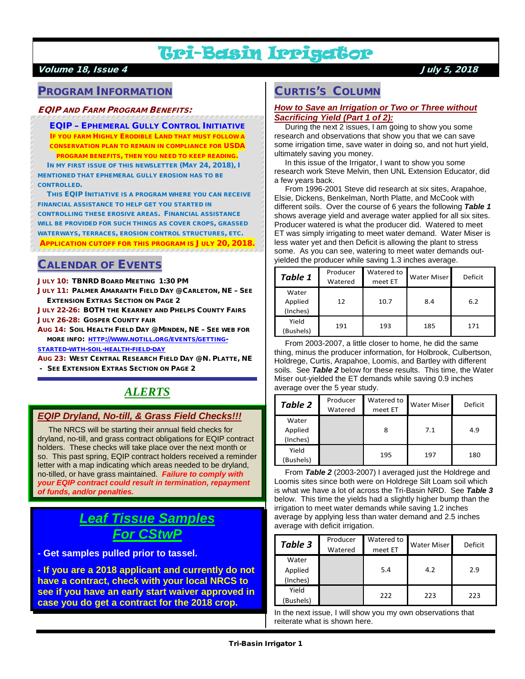# Tri-Basin Irrigator

#### Volume 18, Issue 4 July 5, 2018

# PROGRAM INFORMATION

#### EQIP AND FARM PROGRAM BENEFITS:

EQIP – EPHEMERAL GULLY CONTROL INITIATIVE IF YOU FARM HIGHLY ERODIBLE LAND THAT MUST FOLLOW A CONSERVATION PLAN TO REMAIN IN COMPLIANCE FOR USDA PROGRAM BENEFITS, THEN YOU NEED TO KEEP READING.

 IN MY FIRST ISSUE OF THIS NEWSLETTER (MAY 24, 2018), I MENTIONED THAT EPHEMERAL GULLY EROSION HAS TO BE CONTROLLED.

 THIS EQIP INITIATIVE IS A PROGRAM WHERE YOU CAN RECEIVE FINANCIAL ASSISTANCE TO HELP GET YOU STARTED IN CONTROLLING THESE EROSIVE AREAS. FINANCIAL ASSISTANCE WILL BE PROVIDED FOR SUCH THINGS AS COVER CROPS, GRASSED WATERWAYS, TERRACES, EROSION CONTROL STRUCTURES, ETC. APPLICATION CUTOFF FOR THIS PROGRAM IS JULY 20, 2018.

# CALENDAR OF EVENTS

JULY 10: TBNRD BOARD MEETING 1:30 PM

JULY 11: PALMER AMARANTH FIELD DAY @ CARLETON, NE - SEE EXTENSION EXTRAS SECTION ON PAGE 2

JULY 22-26: BOTH THE KEARNEY AND PHELPS COUNTY FAIRS JULY 26-28: GOSPER COUNTY FAIR

AUG 14: SOIL HEALTH FIELD DAY @ MINDEN, NE – SEE WEB FOR MORE INFO: [HTTP://WWW.NOTILL.ORG/EVENTS/GETTING-](http://www.notill.org/events/getting-started-with-soil-health-field-day)

[STARTED-WITH-SOIL-HEALTH-FIELD-DAY](http://www.notill.org/events/getting-started-with-soil-health-field-day)

AUG 23: WEST CENTRAL RESEARCH FIELD DAY @ N. PLATTE, NE

- SEE EXTENSION EXTRAS SECTION ON PAGE 2

# *ALERTS*

### *EQIP Dryland, No-till, & Grass Field Checks!!!*

 The NRCS will be starting their annual field checks for dryland, no-till, and grass contract obligations for EQIP contract holders. These checks will take place over the next month or so. This past spring, EQIP contract holders received a reminder letter with a map indicating which areas needed to be dryland, no-tilled, or have grass maintained. *Failure to comply with your EQIP contract could result in termination, repayment of funds, and/or penalties.*

# *Leaf Tissue Samples For CStwP*

**- Get samples pulled prior to tassel.**

**- If you are a 2018 applicant and currently do not have a contract, check with your local NRCS to see if you have an early start waiver approved in case you do get a contract for the 2018 crop.**

# CURTIS'S COLUMN

#### *How to Save an Irrigation or Two or Three without Sacrificing Yield (Part 1 of 2):*

 During the next 2 issues, I am going to show you some research and observations that show you that we can save some irrigation time, save water in doing so, and not hurt yield, ultimately saving you money.

 In this issue of the Irrigator, I want to show you some research work Steve Melvin, then UNL Extension Educator, did a few years back.

 From 1996-2001 Steve did research at six sites, Arapahoe, Elsie, Dickens, Benkelman, North Platte, and McCook with different soils. Over the course of 6 years the following *Table 1* shows average yield and average water applied for all six sites. Producer watered is what the producer did. Watered to meet ET was simply irrigating to meet water demand. Water Miser is less water yet and then Deficit is allowing the plant to stress some. As you can see, watering to meet water demands outyielded the producer while saving 1.3 inches average.

| Table 1                      | Producer<br>Watered | Watered to<br>meet ET | Water Miser | Deficit |
|------------------------------|---------------------|-----------------------|-------------|---------|
| Water<br>Applied<br>(Inches) | 12                  | 10.7                  | 8.4         | 6.2     |
| Yield<br>(Bushels)           | 191                 | 193                   | 185         | 171     |

 From 2003-2007, a little closer to home, he did the same thing, minus the producer information, for Holbrook, Culbertson, Holdrege, Curtis, Arapahoe, Loomis, and Bartley with different soils. See *Table 2* below for these results. This time, the Water Miser out-yielded the ET demands while saving 0.9 inches average over the 5 year study.

| <b>Table 2</b>               | Producer<br>Watered | Watered to<br>meet ET | <b>Water Miser</b> | Deficit |
|------------------------------|---------------------|-----------------------|--------------------|---------|
| Water<br>Applied<br>(Inches) |                     | 8                     | 7.1                | 4.9     |
| Yield<br>(Bushels)           |                     | 195                   | 197                | 180     |

 From *Table 2* (2003-2007) I averaged just the Holdrege and Loomis sites since both were on Holdrege Silt Loam soil which is what we have a lot of across the Tri-Basin NRD. See *Table 3* below. This time the yields had a slightly higher bump than the irrigation to meet water demands while saving 1.2 inches average by applying less than water demand and 2.5 inches average with deficit irrigation.

| Table 3                      | Producer<br>Watered | Watered to<br>meet ET | <b>Water Miser</b> | Deficit |  |
|------------------------------|---------------------|-----------------------|--------------------|---------|--|
| Water<br>Applied<br>(Inches) |                     | 5.4                   | 4.2                | 2.9     |  |
| Yield<br>(Bushels)           |                     | 222                   | 223                | 223     |  |

In the next issue, I will show you my own observations that reiterate what is shown here.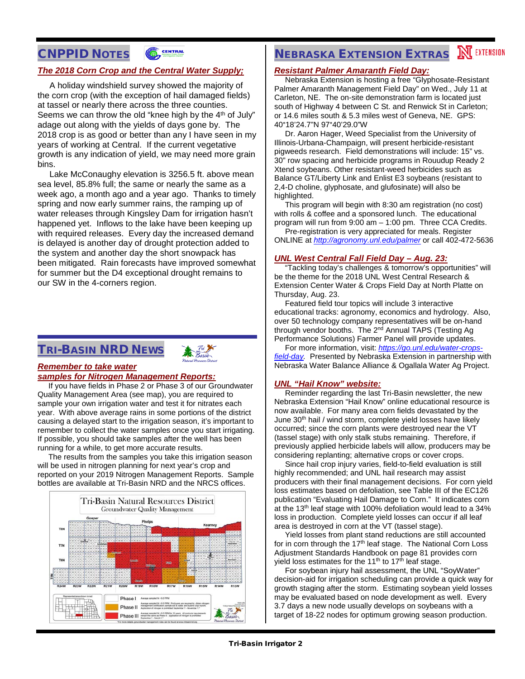# CNPPID NOTES



## *The 2018 Corn Crop and the Central Water Supply;*

 A holiday windshield survey showed the majority of the corn crop (with the exception of hail damaged fields) at tassel or nearly there across the three counties. Seems we can throw the old "knee high by the 4<sup>th</sup> of July" adage out along with the yields of days gone by. The 2018 crop is as good or better than any I have seen in my years of working at Central. If the current vegetative growth is any indication of yield, we may need more grain bins.

 Lake McConaughy elevation is 3256.5 ft. above mean sea level, 85.8% full; the same or nearly the same as a week ago, a month ago and a year ago. Thanks to timely spring and now early summer rains, the ramping up of water releases through Kingsley Dam for irrigation hasn't happened yet. Inflows to the lake have been keeping up with required releases. Every day the increased demand is delayed is another day of drought protection added to the system and another day the short snowpack has been mitigated. Rain forecasts have improved somewhat for summer but the D4 exceptional drought remains to our SW in the 4-corners region.

# TRI-BASIN NRD NEWS



#### *Remember to take water samples for Nitrogen Management Reports:*

 If you have fields in Phase 2 or Phase 3 of our Groundwater Quality Management Area (see map), you are required to sample your own irrigation water and test it for nitrates each year. With above average rains in some portions of the district causing a delayed start to the irrigation season, it's important to remember to collect the water samples once you start irrigating. If possible, you should take samples after the well has been running for a while, to get more accurate results.

 The results from the samples you take this irrigation season will be used in nitrogen planning for next year's crop and reported on your 2019 Nitrogen Management Reports. Sample bottles are available at Tri-Basin NRD and the NRCS offices.



# **NEBRASKA EXTENSION EXTRAS NEXTENSION**

#### *Resistant Palmer Amaranth Field Day:*

 Nebraska Extension is hosting a free "Glyphosate-Resistant Palmer Amaranth Management Field Day" on Wed., July 11 at Carleton, NE. The on-site demonstration farm is located just south of Highway 4 between C St. and Renwick St in Carleton; or 14.6 miles south & 5.3 miles west of Geneva, NE. GPS: 40°18'24.7"N 97°40'29.0"W

 Dr. Aaron Hager, Weed Specialist from the University of Illinois-Urbana-Champaign, will present herbicide-resistant pigweeds research. Field demonstrations will include: 15" vs. 30" row spacing and herbicide programs in Rouudup Ready 2 Xtend soybeans. Other resistant-weed herbicides such as Balance GT/Liberty Link and Enlist E3 soybeans (resistant to 2,4-D choline, glyphosate, and glufosinate) will also be highlighted.

 This program will begin with 8:30 am registration (no cost) with rolls & coffee and a sponsored lunch. The educational program will run from 9:00 am – 1:00 pm. Three CCA Credits.

 Pre-registration is very appreciated for meals. Register ONLINE at *<http://agronomy.unl.edu/palmer>* or call 402-472-5636

#### *UNL West Central Fall Field Day – Aug. 23:*

 "Tackling today's challenges & tomorrow's opportunities" will be the theme for the 2018 UNL West Central Research & Extension Center Water & Crops Field Day at North Platte on Thursday, Aug. 23.

 Featured field tour topics will include 3 interactive educational tracks: agronomy, economics and hydrology. Also, over 50 technology company representatives will be on-hand through vendor booths. The 2<sup>nd</sup> Annual TAPS (Testing Ag Performance Solutions) Farmer Panel will provide updates.

 For more information, visit: *[https://go.unl.edu/water-crops](https://go.unl.edu/water-crops-field-day)[field-day.](https://go.unl.edu/water-crops-field-day)* Presented by Nebraska Extension in partnership with Nebraska Water Balance Alliance & Ogallala Water Ag Project.

#### *UNL "Hail Know" website:*

 Reminder regarding the last Tri-Basin newsletter, the new Nebraska Extension "Hail Know" online educational resource is now available. For many area corn fields devastated by the June 30<sup>th</sup> hail / wind storm, complete yield losses have likely occurred; since the corn plants were destroyed near the VT (tassel stage) with only stalk stubs remaining. Therefore, if previously applied herbicide labels will allow, producers may be considering replanting; alternative crops or cover crops.

 Since hail crop injury varies, field-to-field evaluation is still highly recommended; and UNL hail research may assist producers with their final management decisions. For corn yield loss estimates based on defoliation, see Table III of the [EC126](http://extensionpublications.unl.edu/assets/pdf/ec126.pdf) publication ["Evaluating Hail Damage to Corn.](http://extensionpublications.unl.edu/assets/pdf/ec126.pdf)" It indicates corn at the 13<sup>th</sup> leaf stage with 100% defoliation would lead to a 34% loss in production. Complete yield losses can occur if all leaf area is destroyed in corn at the VT (tassel stage).

 Yield losses from plant stand reductions are still accounted for in corn through the 17<sup>th</sup> leaf stage. The National Corn Loss [Adjustment Standards Handbook](https://www.rma.usda.gov/handbooks/25000/2014/14_25080.pdf) on page 81 provides corn yield loss estimates for the  $11<sup>th</sup>$  to  $17<sup>th</sup>$  leaf stage.

 For soybean injury hail assessment, the UNL "SoyWater" decision-aid for irrigation scheduling can provide a quick way for growth staging after the storm. Estimating soybean yield losses may be evaluated based on node development as well. Every 3.7 days a new node usually develops on soybeans with a target of 18-22 nodes for optimum growing season production.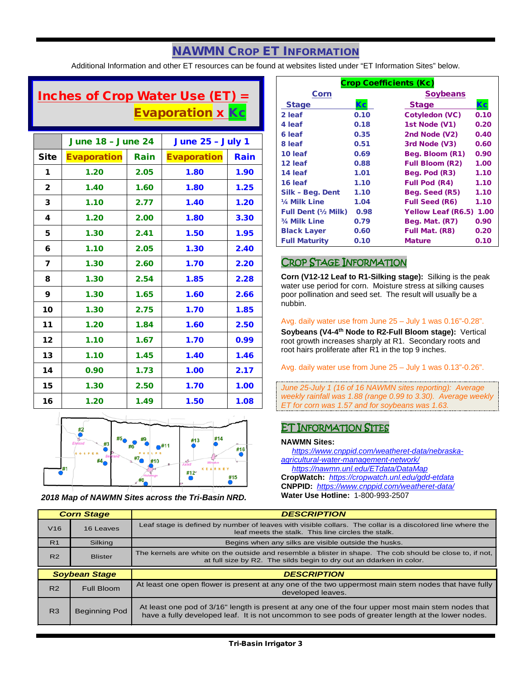# NAWMN CROP ET INFORMATION

Additional Information and other ET resources can be found at websites listed under "ET Information Sites" below.

# Inches of Crop Water Use (ET) = Evaporation x Kc

|                         | <b>June 18 - June 24</b> |      | <b>June 25 - July 1</b> |      |
|-------------------------|--------------------------|------|-------------------------|------|
| <b>Site</b>             | <b>Evaporation</b>       | Rain | <b>Evaporation</b>      | Rain |
| 1                       | 1.20                     | 2.05 | 1.80                    | 1.90 |
| $\mathbf{2}$            | 1.40                     | 1.60 | 1.80                    | 1.25 |
| 3                       | 1.10                     | 2.77 | 1.40                    | 1.20 |
| 4                       | 1.20                     | 2.00 | 1.80                    | 3.30 |
| 5                       | 1.30                     | 2.41 | 1.50                    | 1.95 |
| 6                       | 1.10                     | 2.05 | 1.30                    | 2.40 |
| $\overline{\mathbf{z}}$ | 1.30                     | 2.60 | 1.70                    | 2.20 |
| 8                       | 1.30                     | 2.54 | 1.85                    | 2.28 |
| 9                       | 1.30                     | 1.65 | 1.60                    | 2.66 |
| 10                      | 1.30                     | 2.75 | 1.70                    | 1.85 |
| 11                      | 1.20                     | 1.84 | 1.60                    | 2.50 |
| 12                      | 1.10                     | 1.67 | 1.70                    | 0.99 |
| 13                      | 1.10                     | 1.45 | 1.40                    | 1.46 |
| 14                      | 0.90                     | 1.73 | 1.00                    | 2.17 |
| 15                      | 1.30                     | 2.50 | 1.70                    | 1.00 |
| 16                      | 1.20                     | 1.49 | 1.50                    | 1.08 |



*2018 Map of NAWMN Sites across the Tri-Basin NRD.*

| <b>Crop Coefficients (Kc)</b> |      |                           |      |  |
|-------------------------------|------|---------------------------|------|--|
| Corn                          |      | <b>Soybeans</b>           |      |  |
| <b>Stage</b>                  | Кc   | <b>Stage</b>              | Кc   |  |
| 2 leaf                        | 0.10 | Cotyledon (VC)            | 0.10 |  |
| 4 leaf                        | 0.18 | 1st Node (V1)             | 0.20 |  |
| 6 leaf                        | 0.35 | 2nd Node (V2)             | 0.40 |  |
| 8 leaf                        | 0.51 | 3rd Node (V3)             | 0.60 |  |
| 10 leaf                       | 0.69 | Beg. Bloom (R1)           | 0.90 |  |
| 12 leaf                       | 0.88 | <b>Full Bloom (R2)</b>    | 1.00 |  |
| 14 leaf                       | 1.01 | Beg. Pod (R3)             | 1.10 |  |
| 16 leaf                       | 1.10 | <b>Full Pod (R4)</b>      | 1.10 |  |
| Silk - Beg. Dent              | 1.10 | Beg. Seed (R5)            | 1.10 |  |
| 1/4 Milk Line                 | 1.04 | <b>Full Seed (R6)</b>     | 1.10 |  |
| <b>Full Dent (½ Milk)</b>     | 0.98 | <b>Yellow Leaf (R6.5)</b> | 1.00 |  |
| 3/4 Milk Line                 | 0.79 | Beg. Mat. (R7)            | 0.90 |  |
| <b>Black Layer</b>            | 0.60 | Full Mat. (R8)            | 0.20 |  |
| <b>Full Maturity</b>          | 0.10 | <b>Mature</b>             | 0.10 |  |

## CROP STAGE INFORMATION

**Corn (V12-12 Leaf to R1-Silking stage):** Silking is the peak water use period for corn. Moisture stress at silking causes poor pollination and seed set. The result will usually be a nubbin.

#### Avg. daily water use from June 25 – July 1 was 0.16"-0.28".

**Soybeans (V4-4th Node to R2-Full Bloom stage):** Vertical root growth increases sharply at R1. Secondary roots and root hairs proliferate after R1 in the top 9 inches.

Avg. daily water use from June 25 – July 1 was 0.13"-0.26".

*June 25-July 1 (16 of 16 NAWMN sites reporting): Average weekly rainfall was 1.88 (range 0.99 to 3.30). Average weekly ET for corn was 1.57 and for soybeans was 1.63.*

## ET INFORMATION SITES

#### **NAWMN Sites:**

 *[https://www.cnppid.com/weatheret-data/nebraska](https://www.cnppid.com/weatheret-data/nebraska-agricultural-water-management-network/)[agricultural-water-management-network/](https://www.cnppid.com/weatheret-data/nebraska-agricultural-water-management-network/) <https://nawmn.unl.edu/ETdata/DataMap>* **CropWatch:** *<https://cropwatch.unl.edu/gdd-etdata>* **CNPPID:** *<https://www.cnppid.com/weatheret-data/>* **Water Use Hotline:** 1-800-993-2507

|                | <b>Corn Stage</b>    | <b>DESCRIPTION</b>                                                                                                                                                               |  |
|----------------|----------------------|----------------------------------------------------------------------------------------------------------------------------------------------------------------------------------|--|
| V16            | 16 Leaves            | Leaf stage is defined by number of leaves with visible collars. The collar is a discolored line where the<br>leaf meets the stalk. This line circles the stalk.                  |  |
| R <sub>1</sub> | Silking              | Begins when any silks are visible outside the husks.                                                                                                                             |  |
| R <sub>2</sub> | <b>Blister</b>       | The kernels are white on the outside and resemble a blister in shape. The cob should be close to, if not,<br>at full size by R2. The silds begin to dry out an ddarken in color. |  |
|                |                      |                                                                                                                                                                                  |  |
|                | <b>Soybean Stage</b> | <b>DESCRIPTION</b>                                                                                                                                                               |  |
| R <sub>2</sub> | Full Bloom           | At least one open flower is present at any one of the two uppermost main stem nodes that have fully<br>developed leaves.                                                         |  |